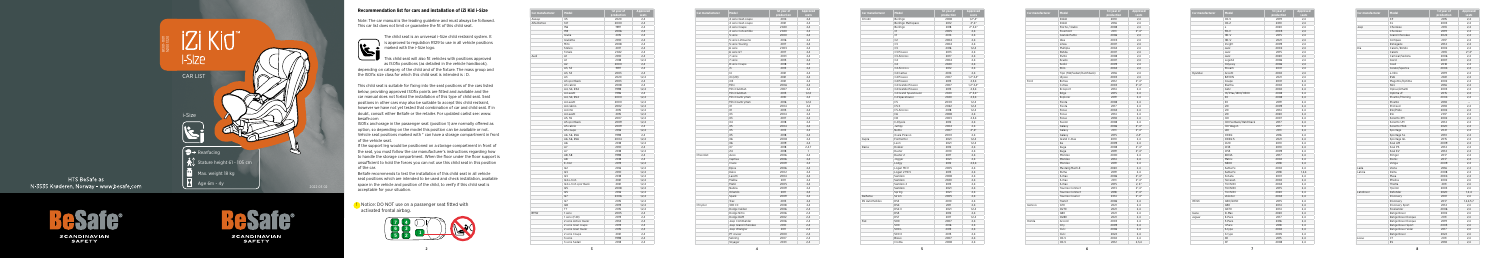5

## **Recommendation list for cars and installation of iZi Kid i-Size**

The child seat is an universal i-Size child restraint system. It is approved to regulation R129 to use in all vehicle positions marked with the i-Size logo.

 Note: The car manual is the leading guideline and must always be followed. This car list does not limit or guarantee the fit of this child seat.

**This child seat will also fit vehicles with positions approved** as ISOfix positions (as detailed in the vehicle handbook), depending on category of the child and of the fixture. The mass group and the ISOfix size class for which this child seat is intended is : D.

This child seat is suitable for fixing into the seat positions of the cars listed below, providing approved ISOfix points are fitted and available and the car manual does not forbid the installation of this type of child seat. Seat positions in other cars may also be suitable to accept this child restraint, however we have not yet tested that combination of car and child seat. If in doubt, consult either BeSafe or the retailer. For updated carlist see: www. besafe.com

ISOfix anchorage in the passenger seat (position 1) are normally offered as option, so depending on the model this position can be available or not. Vehicle seat positions marked with \* can have a storage compartment in front of the vehicle seat.

If the support leg would be positioned on a storage compartment in front of the seat, you must follow the car manufacturer's instructions regarding how to handle the storage compartment. When the floor under the floor support is unsufficient to hold the forces you can not use this child seat in this position of the car.

BeSafe recommends to test the installation of this child seat in all vehicle seat positions which are intended to be used and check installation, available space in the vehicle and position of the child, to verify if this child seat is acceptable for your situation.

| Car manufacturer | Model               | 1st year of<br>production | Approved<br>seats |
|------------------|---------------------|---------------------------|-------------------|
|                  | 4 serie Gran coupe  | 2014                      | 2,4               |
|                  | 4 serie Gran coupe  | 2021                      | 2,4               |
|                  | 4 serie Coupe       | 2020                      | 2,4               |
|                  | 4 serie Convertible | 2020                      | 2,4               |
|                  | 5 serie             | 2000                      | 2,4               |
|                  | 5 serie Limousine   | 2016                      | 2,4               |
|                  | 5 serie Touring     | 2017                      | 2,4               |
|                  | 6 serie             | 2003                      | 2,4               |
|                  | 6 serie GT          | 2017                      | 2,4               |
|                  | 7 serie             | 2001                      | 2.4               |
|                  | 7 serie             | 2015                      | 2.4               |
|                  | 8 serie Coupe       | 2018                      | 2,4               |
|                  | i3                  | 2013                      | 2,4               |
|                  | 4                   | 2021                      | 2,4               |
|                  | iX (i20)            | 2021                      | 2,4               |
|                  | iX3                 | 2021                      | 2,4               |
|                  | Mini                | 2006                      | 2,4               |
|                  | Mini Clubman        | 2007                      | 2,4               |
|                  | Mini Clubman        | 2015                      | 1,2,4             |
|                  | Mini Countryman     | 2010                      | 2,4               |
|                  | Mini Countryman     | 2016                      | 1.2.4             |
|                  | X1                  | 2004                      | 2,4               |
|                  | X1                  | 2015                      | 2,4               |
|                  | X3                  | 2004                      | 2,4               |
|                  | X3                  | 2017                      | 2,4               |
|                  | X4                  | 2018                      | 2,4               |
|                  | X <sub>5</sub>      | 2004                      | 2,4               |
|                  | X <sub>5</sub>      | 2013                      | 2,4               |
|                  | X5                  | 2018                      | 2,4               |
|                  | X6                  | 2008                      | 2,4               |
|                  | X6                  | 2019                      | 2,4               |
|                  | X7                  | 2018                      | 2,4,7             |
|                  | Z <sub>4</sub>      | 2018                      | 1                 |
| Chevrolet        | Aveo                | 2006                      | 2,4               |
|                  | Captiva             | 2006                      | 2,4               |
|                  | Cruze               | 2009                      | 2,4               |
|                  | Epica               | 2006                      | 2,4               |
|                  | Kalos               | 2002                      | 2.4               |
|                  | Lacetti             | 2004                      | 2,4               |
|                  | Malibu              | 2011                      | 2,4               |
|                  | Matiz               | 2005                      | 2,4               |
|                  | Nubira              | 2009                      | 2,4               |
|                  | Orlando             | 2011                      | 2,4               |
|                  | Spark               | 2009                      | 2,4               |
|                  | Trax                | 2013                      | 2,4               |
| Chrysler         | 300 CC              | 2008                      | 2,4               |
|                  | Dodge Caliber       | 2006                      | 2,4               |
|                  | Dodge Nitro         | 2006                      | 2,4               |
|                  | Dodge RAM           | 2002                      | 2,4               |
|                  | Jeep Commander      | 2006                      | 2,4               |
|                  | Jeep Grand Cherokee | 2010                      | 2,4               |
|                  | Jeep Wrangler       | 2011                      | 2,4               |
|                  | PT cruiser          | 2000                      | 2,4               |
|                  | Sebring             | 2007                      | 2,4               |
|                  |                     |                           |                   |
|                  | Voyager             | 2001                      | 2,4               |

**!** Notice: DO NOT use on a passenger seat fitted with activated frontal airbag.

| Car manufacturer      | Model                | 1st year of<br>production | Approved<br>seats      |
|-----------------------|----------------------|---------------------------|------------------------|
| Citroën               | Berlingo             | 2008                      | $1,2^*$ , 4*           |
|                       | Berlingo Multispace  | 2012                      | $2^*$ , 4 <sup>*</sup> |
|                       | Berlingo             | 2018                      | $2^*$ , 3, 4 $*$       |
|                       | C1                   | 2005                      | 2,4                    |
|                       | C1                   | 2014                      | 2,4                    |
|                       | C <sub>2</sub>       | 2004                      | 2,4                    |
|                       | C3                   | 2004                      | 2,4                    |
|                       | C3                   | 2016                      | 1.2.4                  |
|                       | C3 Picasso           | 2013                      | 2.4                    |
|                       | C3 Aircross          | 2017                      | 2,4                    |
|                       | C <sub>4</sub>       | 2004                      | 2,4                    |
|                       | C <sub>4</sub>       | 2020                      | 2,4                    |
|                       | C4 Aircross          | 2012                      | 2,4                    |
|                       | C4 Cactus            | 2014                      | 2.4                    |
|                       | C4 Picasso           | 2007                      | $1,2^*,3,4^*$          |
|                       | C4 Picasso           | 2013                      | 2,3,4                  |
|                       | C4 Grande Picasso    | 2007                      | $1,2^*,3,4^*$          |
|                       | C4 Grande Picasso    | 2013                      |                        |
|                       |                      |                           | 2,3,4                  |
|                       | C4 Grand Spacetourer | 2020                      | $2^*, 3, 4^*$          |
|                       | C4 Spacetourer       | 2020                      | 2,3,4                  |
|                       | C5                   | 2000                      | 1.2.4                  |
|                       | C5X                  | 2022                      | 1,2,4                  |
|                       | C5 Aircross          | 2018                      | 1, 2, 4                |
|                       | C <sub>6</sub>       | 2008                      | 2,4                    |
|                       | C <sub>8</sub>       | 2003                      | 2,3,4                  |
|                       | C-Elysée             | 2012                      | 2,4                    |
|                       | Jumpy                | 2004                      | 2.4                    |
|                       | Nemo                 | 2007                      | $2^*$ , 4*             |
|                       | Xsara Picasso        | 2000                      | 2,4                    |
| Cupra                 | Formentor            | 2021                      | 1,2,4                  |
|                       | Leon                 | 2021                      | 1,2,4                  |
| Dacia                 | Dokker               | 2012                      | 2,4                    |
|                       | Duster               | 2010                      | 2,4                    |
|                       | Duster 2             | 2017                      | 2,4                    |
|                       | Jogger               | 2021                      | 2,4                    |
|                       | Lodgy                | 2012                      | 2,3,4                  |
|                       | Logan MCV            | 2005                      | 2,4                    |
|                       | Logan 2 MCV          | 2013                      | 2,4                    |
|                       | Sandero              | 2008                      | 2,4                    |
|                       | Sandero              | 2020                      | 2,4                    |
|                       | Sandero 2            | 2013                      | 2,4                    |
|                       | Sandero              | 2021                      | 2,4                    |
|                       | Spring               | 2021                      | 2,4                    |
| Daihatsu              | Sirion               | 2005                      | 2,4                    |
| <b>DS Automobiles</b> | DS3                  | 2010                      | 2,4                    |
|                       | DS4                  | 2011                      | 2,4                    |
|                       | DS4 II               | 2021                      | 1,2,4                  |
|                       |                      |                           |                        |
|                       | DS5                  | 2012                      | 2,4                    |
|                       | DS7                  | 2017                      | 1,2,4                  |
| Fiat                  | 500                  | 2007                      | 2,4                    |
|                       | 500                  | 2016                      | 2,4                    |
|                       | 500L                 | 2013                      | 2,4                    |
|                       | 500 X                | 2015                      | 2,4                    |
|                       | Bravo                | 2007                      | 2,4                    |
|                       | Croma                | 2008                      | 2,4                    |

| Car manufacturer | Model                 | 1st year of | Approved |
|------------------|-----------------------|-------------|----------|
|                  |                       | production  | seats    |
| Aiways           | U <sub>5</sub>        | 2020        | 2,4      |
| Alfa Romeo       | 147                   | 2000        | 2,4      |
|                  | 156                   | 1997        | 2.4      |
|                  | 159                   | 2006        | 2,4      |
|                  | Giulia                | 2015        | 2,4      |
|                  | Giulietta             | 2010        | 2,4      |
|                  | Mito                  | 2008        | 2,4      |
|                  | Stelvio               | 2017        | 2,4      |
|                  | Tonale                | 2022        | 2,4      |
| Audi             | A1                    | 2010        | 2,4      |
|                  | A1                    | 2018        | 1,2,4    |
|                  | A2                    | 2000        | 2,4      |
|                  | A3, S3                | 1997        | 2,4      |
|                  | A3, S3                | 2003        | 2,4      |
|                  | A3                    | 2020        | 1,2,4    |
|                  | A3 sportback          | 2003        | 2.4      |
|                  | A3 cabrio             | 2008        | 2,4      |
|                  | A4, S4, RS4           | 1998        | 1,2,4    |
|                  | A4 avant              | 1996        | 2,4      |
|                  | A4, S4, RS4           | 2000        | 1.2.4    |
|                  | A4 avant              | 2000        | 1,2,4    |
|                  | A4 cabrio             | 2002        | 1,2,4    |
|                  | A4 imo                | 2015        | 1,2,4    |
|                  | A4 avant              | 2015        | 1,2,4    |
|                  | A5, S5                | 2007        | 1,2,4    |
|                  | A5 sportback          | 2009        | 1,2,4    |
|                  |                       |             |          |
|                  | A5 cabrio             | 2009        | 2,4      |
|                  | A5 coupe              | 2016        | 1,2,4    |
|                  | A6, S6, RS6           | 1998        | 2.4      |
|                  | A6, S6, RS6           | 2004        | 1,2,4    |
|                  | A6                    | 2018        | 1,2,4    |
|                  | A7                    | 2010        | 2,4      |
|                  | A7                    | 2018        | 1,2,4    |
|                  | A8, S8                | 1998        | 2,4      |
|                  | A8                    | 2018        | 2,4      |
|                  | E-tron                | 2019        | 1,2,4    |
|                  | Q2                    | 2016        | 1,2,4    |
|                  | Q3                    | 2010        | 1,2,4    |
|                  | Q3                    | 2018        | 1,2,4    |
|                  | Q4 e-tron             | 2021        | 1,2,4    |
|                  | Q4 e-tron sportback   | 2021        | 1,2,4    |
|                  | Q5                    | 2008        | 1,2,4    |
|                  | Q5                    | 2016        | 1,2,4    |
|                  | Q7                    | 2006        | 1,2,4    |
|                  | Q7                    | 2015        | 1,2,4    |
|                  | Q8                    | 2019        | 1,2,4    |
|                  | TT                    | 2015        | 1,2,4    |
| <b>BMW</b>       | 1 serie               | 2005        | 2,4      |
|                  | 1 serie (F40)         | 2019        | 2,4      |
|                  | 2 serie Active tourer | 2014        | 2,4      |
|                  | 2 serie Gran coupe    | 2019        | 2,4      |
|                  | 2 serie Gran tourer   | 2015        | 2.4      |
|                  |                       |             |          |
|                  | 2 serie Coupe         | 2021        | 2,4      |
|                  | 3 serie               | 1998        | 2,4      |
|                  | 3 serie Sedan         | 2018        | 2,4      |



HTS BeSafe as N-3535 Krøderen, Norway - www.besafe.com

SCANDINAVIAN<br>SAFETY



**SCANDINAVIAN SAFETY** 



| Car manufacturer | Model                     | <b>1st year of</b> | <b>Approv</b>          |
|------------------|---------------------------|--------------------|------------------------|
|                  |                           | production         | seats                  |
|                  | Doblò                     | 2010               | 2,4                    |
|                  | Doblò                     | 2016               | 2,4                    |
|                  | Fiorno / Qubo             | 2008               | 2,4                    |
|                  | Freemont                  | 2011               | $2^*$ ,4 $*$           |
|                  | Grande Punto              | 2006               | 2,4                    |
|                  | Idea                      | 2003               | 2,4                    |
|                  | Linea                     | 2007               | 2,4                    |
|                  | Multipla                  | 2004               | 2,4                    |
|                  | Panda                     | 2007               | 2,4                    |
|                  | Punto                     | 2008               | 2,4                    |
|                  | Scudo                     | 2007               | 2,4                    |
|                  | Sedici                    | 2009               | 2,4                    |
|                  | Stilo                     | 2004               | 2,4                    |
|                  | Tipo (SW/Sedan/Hatchback) | 2016               | 2,4                    |
|                  | Ulysse                    | 2003               | 2,4                    |
| Ford             | B-max                     | 2012               | $2^*$ , 4 <sup>*</sup> |
|                  | C-max                     | 2003               | $2^*$ , $4^*$          |
|                  | Ecosport                  | 2014               | 2,4                    |
|                  | Edge                      | 2015               | 2,4                    |
|                  | Explorer                  | 2019               | 2,4                    |
|                  | Fiesta                    | 2008               | 2,4                    |
|                  | Fiesta                    | 2017               | 2,4                    |
|                  | Focus                     | 2004               | 2,4                    |
|                  | Focus                     | 2014               | 2,4                    |
|                  | Focus                     | 2018               | 2,4                    |
|                  | Fusion                    | 2008               | 2,4                    |
|                  |                           | 2006               |                        |
|                  | Galaxy                    |                    | $2^*$ , 4 <sup>*</sup> |
|                  | Galaxy                    | 2011               | $2^*$ ,4 $*$           |
|                  | Galaxy                    | 2015               | $2,4*$                 |
|                  | Grand C-max               | 2010               | 2,4                    |
|                  | Ka                        | 2009               | 2,4                    |
|                  | Kuga                      | 2008               | $2^*$ , $4^*$          |
|                  | Kuga                      | 2019               | $2^*$ , $4^*$          |
|                  | Mondeo                    | 2000               | 2,4                    |
|                  | Mondeo                    | 2014               | 2,4                    |
|                  | Mondeo                    | 2019               | 2,4                    |
|                  | Mustang Mach-E            | 2020               | 2,4                    |
|                  | Puma                      | 2019               | 2,4                    |
|                  | S-max                     | 2006               | $2^*$ , 4 $*$          |
|                  | S-max                     | 2011               | $2^*$ , 4 <sup>*</sup> |
|                  | S-max                     | 2015               | $2, 4^*$               |
|                  | Tourneo Connect           | 2013               | $2^*$ , $4^*$          |
|                  | Tourneo Connect           | 2018               | $2^*$ , 4 <sup>*</sup> |
|                  | Tourneo Courier           | 2014               | $2^*$ ,4 $*$           |
|                  | Transit                   | 2006               | 2,4                    |
| Genesis          | G70                       | 2021               | 2,4                    |
|                  | GV70                      | 2021               | 2,4                    |
|                  | G80                       | 2021               | 2,4                    |
|                  | <b>GV80</b>               | 2021               | 2,4                    |
| Honda            | Accord                    | 2003               | 2,4                    |
|                  | City                      | 2009               | 2,4                    |
|                  | Civic                     | 2006               | 2,4                    |
|                  | Civic                     | 2022               | 2,4                    |
|                  | CR-V                      | 2002               | 2,4                    |
|                  |                           |                    |                        |

| Model                     | 1st vear of<br>production | Approved<br>seats      |
|---------------------------|---------------------------|------------------------|
| Doblò                     | 2010                      | 2,4                    |
| Doblò                     | 2016                      | 2,4                    |
| Fiorno / Qubo             | 2008                      | 2,4                    |
| Freemont                  | 2011                      | $2^*$ , 4 $*$          |
| Grande Punto              | 2006                      | 2,4                    |
| Idea                      | 2003                      | 2,4                    |
| Linea                     | 2007                      | 2,4                    |
| Multipla                  | 2004                      | 2,4                    |
| Panda                     | 2007                      | 2.4                    |
| Punto                     | 2008                      | 2,4                    |
| Scudo                     | 2007                      | 2,4                    |
| Sedici                    | 2009                      | 2,4                    |
| Stilo                     | 2004                      | 2,4                    |
| Tipo (SW/Sedan/Hatchback) | 2016                      | 2,4                    |
| Ulysse                    | 2003                      | 2,4                    |
| B-max                     | 2012                      | $2^*$ , $4^*$          |
| C-max                     | 2003                      | $2^*$ , 4 <sup>*</sup> |
| Ecosport                  | 2014                      | 2,4                    |
| Edge                      | 2015                      | 2,4                    |
| Explorer                  | 2019                      | 2,4                    |
| Fiesta                    | 2008                      | 2,4                    |
| Fiesta                    | 2017                      | 2,4                    |
| Focus                     | 2004                      | 2,4                    |
| Focus                     | 2014                      | 2.4                    |
| Focus                     | 2018                      | 2,4                    |
|                           |                           |                        |
| Fusion                    | 2008                      | 2,4                    |
| Galaxy                    | 2006                      | $2^*$ , $4^*$          |
| Galaxy                    | 2011                      | $2^*$ , 4 $*$          |
| Galaxy                    | 2015                      | $2.4*$                 |
| Grand C-max               | 2010                      | 2,4                    |
| Ka                        | 2009                      | 2,4                    |
| Kuga                      | 2008                      | $2^*$ , 4 <sup>*</sup> |
| Kuga                      | 2019                      | $2^*$ , 4 <sup>*</sup> |
| Mondeo                    | 2000                      | 2,4                    |
| Mondeo                    | 2014                      | 2,4                    |
| Mondeo                    | 2019                      | 2,4                    |
| Mustang Mach-E            | 2020                      | 2,4                    |
| Puma                      | 2019                      | 2,4                    |
| S-max                     | 2006                      | $2^*$ .4*              |
| S-max                     | 2011                      | $2^*$ , 4 $*$          |
| S-max                     | 2015                      | $2, 4^*$               |
| Tourneo Connect           | 2013                      | $2^*$ , 4 <sup>*</sup> |
| Tourneo Connect           | 2018                      | $2^*$ , 4 <sup>*</sup> |
| Tourneo Courier           | 2014                      | $2^*$ , 4 <sup>*</sup> |
| Transit                   | 2006                      | 2,4                    |
| G70                       | 2021                      | 2,4                    |
| GV70                      | 2021                      | 2,4                    |
| G80                       | 2021                      | 2.4                    |
| GV80                      | 2021                      | 2,4                    |
| Accord                    | 2003                      | 2,4                    |
| City                      | 2009                      | 2,4                    |
| Civic                     | 2006                      | 2,4                    |
| Civic                     | 2022                      | 2,4                    |
| CR-V                      | 2002                      | 2,4                    |
| CR-V                      | 2012                      | 2,3,4                  |
|                           |                           |                        |

| Car manufacturer | Model                  | 1st year of<br>production | Approved<br>seats |
|------------------|------------------------|---------------------------|-------------------|
|                  | CR-V                   | 2019                      | 2,4               |
|                  | $CR-Z$                 | 2010                      | 2,4               |
|                  | e                      | 2020                      | 2,4               |
|                  | FR-V                   | 2005                      | 2,4               |
|                  | HR-V                   | 2015                      | 2,4               |
|                  | HR-V                   | 2021                      | 2,4               |
|                  | Insight                | 2009                      | 2,4               |
|                  | Jazz                   | 2002                      | 2,4               |
|                  | Jazz                   | 2015                      | 2,4               |
|                  | Jazz                   | 2020                      | 2,4               |
|                  | Legend                 | 2006                      | 2,4               |
|                  | Odyssey                | 2006                      | 2,4               |
|                  | Stream                 | 2001                      | 2,4               |
| Hyundai          | Accent                 | 2002                      | 2,4               |
|                  | <b>BAYON</b>           | 2021                      | 2,4               |
|                  | Coupe                  | 2001                      | 2,4               |
|                  | Elantra                | 2002                      | 2,4               |
|                  | Getz                   | 2002                      | 2,4               |
|                  | H1/iMax/i800/H300      | 2008                      | 2,4               |
|                  | i10                    | 2008                      | 2,4               |
|                  | i10                    | 2019                      | 2,4               |
|                  | i20                    | 2009                      | 2,4               |
|                  | i20                    | 2014                      | 2,4               |
|                  | i20                    | 2020                      | 2,4               |
|                  | i30                    | 2007                      | 2,4               |
|                  | i30 Fastback/Hatchback | 2017                      | 2,4               |
|                  | i30 Wagon              | 2017                      | 2,4               |
|                  | i40                    | 2011                      | 2,4               |
|                  | <b>IONIQ</b>           | 2016                      | 2,4               |
|                  | IONIQ 5                | 2021                      | 2,4               |
|                  | iX20                   | 2010                      | 2,4               |
|                  | iX35                   | 2010                      | 2,4               |
|                  | iX55                   | 2009                      | 2,4               |
|                  | <b>KONA</b>            | 2017                      | 2,4               |
|                  | Matrix                 | 2002                      | 2,4               |
|                  | NEXO                   | 2018                      | 2,4               |
|                  | Santa Fe               | 2002                      | 2,4               |
|                  | Santa Fe               | 2018                      | 1,2,4             |
|                  | Sonata                 | 2001                      | 2,4               |
|                  | Terracan               | 2002                      | 2,4               |
|                  | <b>TUCSON</b>          | 2004                      | 2,4               |
|                  | <b>TUCSON</b>          | 2015                      | 2,4               |
|                  | <b>TUCSON</b>          | 2020                      | 2,4               |
|                  | Veloster               | 2004                      | 2,4               |
| Infiniti         | Q30/QX30               | 2015                      | 2,4               |
|                  | Q50                    | 2014                      | 2,4               |
|                  | QX70                   | 2014                      | 2,4               |
| Isuzu            | D-Max                  | 2020                      | 2,4               |
| Jaguar           | E-Pace                 | 2017                      | 2,4               |
|                  | F-Pace                 | 2016                      | 2,4               |
|                  | I-Pace                 | 2018                      | 2,4               |
|                  | S-type                 | 2002                      | 2,4               |
|                  | X-type                 | 2005                      | 2,4               |
|                  | XE                     | 2015                      | 2,4               |
|                  | XF                     | 2008                      | 2,4               |
|                  |                        |                           |                   |

| Car manufacturer | Model                 | 1st year of | <b>Approved</b> |
|------------------|-----------------------|-------------|-----------------|
|                  |                       | production  | seats           |
|                  | XF                    | 2015        | 2,4             |
|                  | XJ                    | 2003        | 2,4             |
| Jeep             | Cherokee              | 2013        | 2,4             |
|                  | Cherokee              | 2019        | 2,4             |
|                  | <b>Grand Cherokee</b> | 2022        | 2.4             |
|                  | Compass               | 2017        | 2,4             |
|                  | Renegade              | 2014        | 2,4             |
| Kia              | Carens/Rondo          | 2002        | 2,4             |
|                  | Carens                | 2013        | $2^*$ , 4 $*$   |
|                  | Carnival/Sedona       | 2006        | 2,4             |
|                  | Cee'd                 | 2007        | 2,4             |
|                  | Ceed                  | 2018        | 2,4             |
|                  | Cerato/Spectra        | 2004        | 2,4             |
|                  | e-Niro                | 2019        | 2,4             |
|                  | EV6                   | 2021        | 2,4             |
|                  | Magentis/Optima       | 2002        | 2,4             |
|                  | Niro                  | 2016        | 2.4             |
|                  | Opirus/Amanti         | 2003        | 2.4             |
|                  | Optima JF             | 2015        | 2,4             |
|                  | Picanto/Morning       | 2004        | 2,4             |
|                  | Picanto               | 2018        | ٠.              |
|                  | ProCeed               | 2018        | 2,4             |
|                  | Rio/Pride             | 2002        | 2,4             |
|                  | Rio                   | 2017        | 2,4             |
|                  | Sorento XM            | 2002        | 2,4             |
|                  | Sorento UM            | 2014        | 2,4             |
|                  | Sorento MQ4           | 2020        | 2,4             |
|                  | Sportage              | 2021        | 2,4             |
|                  | Sportage SL           | 2010        | 2.4             |
|                  | Sportage QL           | 2015        | 2,4             |
|                  | Soul AM               | 2009        | 2,4             |
|                  | Soul PS               | 2014        | 2,4             |
|                  | Soul EV               | 2014        | 2,4             |
|                  | Stinger               | 2017        | 2.4             |
|                  | Stonic                | 2017        | 2,4             |
|                  | Venga                 | 2009        | 2,4             |
| Lada             | Vesta                 | 2016        | 2,4             |
| Lancia           | Delta                 | 2008        | 2,4             |
|                  | Musa                  | 2004        | 2,4             |
|                  | Phedra                | 2002        | 2,4             |
|                  | Thema                 | 2011        | 2.4             |
|                  | Ypsilon               | 2003        | 2,4             |
| Landrover        | Defender              | 2020        | 1,2,4           |
|                  | Discovery             | 2001        | 2,4             |
|                  | Discovery             | 2017        | 1,2,4,5,7       |
|                  | Discovery Sport       | 2014        | 2.4             |
|                  | Freelander            | 2006        | 2,4             |
|                  | Range Rover           | 2002        | 2,4             |
|                  | Range Rover Evoque    | 2011        | 2,4             |
|                  |                       | 2019        | 2,4             |
|                  | Range Rover Evoque    |             |                 |
|                  | Range Rover Sport     | 2005        | 2,4             |
|                  | Range Rover Velar     | 2017        | 2,4             |
|                  | Range Rover           | 2022        | 2,4             |
| Lexus            | СT                    | 2011        | 2,4             |
|                  | ES                    | 2018        | 2,4             |